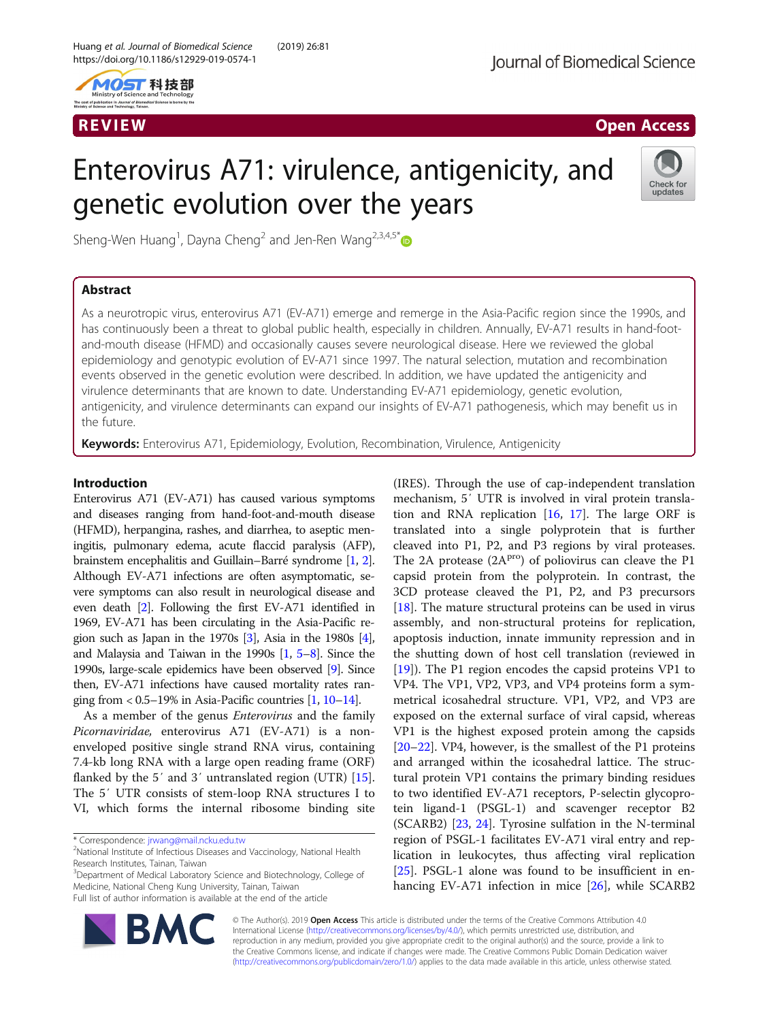

# R EVI EW Open Access

# Enterovirus A71: virulence, antigenicity, and genetic evolution over the years



Sheng-Wen Huang<sup>1</sup>, Dayna Cheng<sup>2</sup> and Jen-Ren Wang<sup>2,3,4,5[\\*](http://orcid.org/0000-0002-4127-4046)</sup>

# Abstract

As a neurotropic virus, enterovirus A71 (EV-A71) emerge and remerge in the Asia-Pacific region since the 1990s, and has continuously been a threat to global public health, especially in children. Annually, EV-A71 results in hand-footand-mouth disease (HFMD) and occasionally causes severe neurological disease. Here we reviewed the global epidemiology and genotypic evolution of EV-A71 since 1997. The natural selection, mutation and recombination events observed in the genetic evolution were described. In addition, we have updated the antigenicity and virulence determinants that are known to date. Understanding EV-A71 epidemiology, genetic evolution, antigenicity, and virulence determinants can expand our insights of EV-A71 pathogenesis, which may benefit us in the future.

Keywords: Enterovirus A71, Epidemiology, Evolution, Recombination, Virulence, Antigenicity

# Introduction

Enterovirus A71 (EV-A71) has caused various symptoms and diseases ranging from hand-foot-and-mouth disease (HFMD), herpangina, rashes, and diarrhea, to aseptic meningitis, pulmonary edema, acute flaccid paralysis (AFP), brainstem encephalitis and Guillain–Barré syndrome [\[1,](#page-6-0) [2](#page-6-0)]. Although EV-A71 infections are often asymptomatic, severe symptoms can also result in neurological disease and even death [\[2\]](#page-6-0). Following the first EV-A71 identified in 1969, EV-A71 has been circulating in the Asia-Pacific region such as Japan in the 1970s [\[3\]](#page-6-0), Asia in the 1980s [[4](#page-6-0)], and Malaysia and Taiwan in the 1990s [[1](#page-6-0), [5](#page-6-0)–[8](#page-6-0)]. Since the 1990s, large-scale epidemics have been observed [\[9](#page-6-0)]. Since then, EV-A71 infections have caused mortality rates ranging from  $< 0.5 - 19\%$  in Asia-Pacific countries  $\left[1, 10 - 14\right]$  $\left[1, 10 - 14\right]$  $\left[1, 10 - 14\right]$  $\left[1, 10 - 14\right]$  $\left[1, 10 - 14\right]$ .

As a member of the genus Enterovirus and the family Picornaviridae, enterovirus A71 (EV-A71) is a nonenveloped positive single strand RNA virus, containing 7.4-kb long RNA with a large open reading frame (ORF) flanked by the 5′ and 3′ untranslated region (UTR) [\[15](#page-6-0)]. The 5′ UTR consists of stem-loop RNA structures I to VI, which forms the internal ribosome binding site

\* Correspondence: [jrwang@mail.ncku.edu.tw](mailto:jrwang@mail.ncku.edu.tw) <sup>2</sup>

<sup>3</sup>Department of Medical Laboratory Science and Biotechnology, College of Medicine, National Cheng Kung University, Tainan, Taiwan Full list of author information is available at the end of the article

(IRES). Through the use of cap-independent translation mechanism, 5′ UTR is involved in viral protein translation and RNA replication  $[16, 17]$  $[16, 17]$  $[16, 17]$  $[16, 17]$ . The large ORF is translated into a single polyprotein that is further cleaved into P1, P2, and P3 regions by viral proteases. The 2A protease  $(2A<sup>pro</sup>)$  of poliovirus can cleave the P1 capsid protein from the polyprotein. In contrast, the 3CD protease cleaved the P1, P2, and P3 precursors [[18\]](#page-6-0). The mature structural proteins can be used in virus assembly, and non-structural proteins for replication, apoptosis induction, innate immunity repression and in the shutting down of host cell translation (reviewed in [[19\]](#page-6-0)). The P1 region encodes the capsid proteins VP1 to VP4. The VP1, VP2, VP3, and VP4 proteins form a symmetrical icosahedral structure. VP1, VP2, and VP3 are exposed on the external surface of viral capsid, whereas VP1 is the highest exposed protein among the capsids [[20](#page-6-0)–[22](#page-6-0)]. VP4, however, is the smallest of the P1 proteins and arranged within the icosahedral lattice. The structural protein VP1 contains the primary binding residues to two identified EV-A71 receptors, P-selectin glycoprotein ligand-1 (PSGL-1) and scavenger receptor B2 (SCARB2) [\[23,](#page-6-0) [24](#page-6-0)]. Tyrosine sulfation in the N-terminal region of PSGL-1 facilitates EV-A71 viral entry and replication in leukocytes, thus affecting viral replication [[25\]](#page-6-0). PSGL-1 alone was found to be insufficient in enhancing EV-A71 infection in mice [[26\]](#page-6-0), while SCARB2



© The Author(s). 2019 Open Access This article is distributed under the terms of the Creative Commons Attribution 4.0 International License [\(http://creativecommons.org/licenses/by/4.0/](http://creativecommons.org/licenses/by/4.0/)), which permits unrestricted use, distribution, and reproduction in any medium, provided you give appropriate credit to the original author(s) and the source, provide a link to the Creative Commons license, and indicate if changes were made. The Creative Commons Public Domain Dedication waiver [\(http://creativecommons.org/publicdomain/zero/1.0/](http://creativecommons.org/publicdomain/zero/1.0/)) applies to the data made available in this article, unless otherwise stated.

<sup>&</sup>lt;sup>2</sup>National Institute of Infectious Diseases and Vaccinology, National Health Research Institutes, Tainan, Taiwan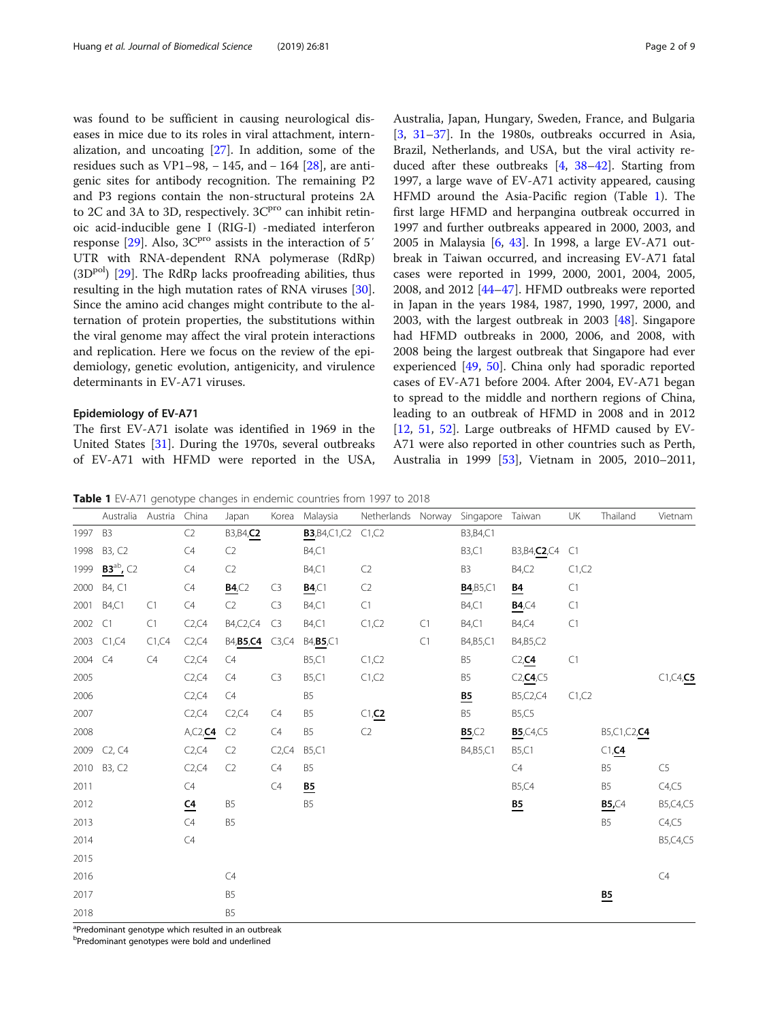<span id="page-1-0"></span>was found to be sufficient in causing neurological diseases in mice due to its roles in viral attachment, internalization, and uncoating [[27\]](#page-6-0). In addition, some of the residues such as VP1–98,  $-145$ , and  $-164$  [[28](#page-6-0)], are antigenic sites for antibody recognition. The remaining P2 and P3 regions contain the non-structural proteins 2A to 2C and 3A to 3D, respectively.  $3C<sup>pro</sup>$  can inhibit retinoic acid-inducible gene I (RIG-I) -mediated interferon response  $[29]$  $[29]$ . Also,  $3C<sup>pro</sup>$  assists in the interaction of 5<sup>'</sup> UTR with RNA-dependent RNA polymerase (RdRp)  $(3D<sup>pol</sup>)$  [[29](#page-6-0)]. The RdRp lacks proofreading abilities, thus resulting in the high mutation rates of RNA viruses [\[30](#page-6-0)]. Since the amino acid changes might contribute to the alternation of protein properties, the substitutions within the viral genome may affect the viral protein interactions and replication. Here we focus on the review of the epidemiology, genetic evolution, antigenicity, and virulence determinants in EV-A71 viruses.

#### Epidemiology of EV-A71

The first EV-A71 isolate was identified in 1969 in the United States [[31\]](#page-6-0). During the 1970s, several outbreaks of EV-A71 with HFMD were reported in the USA, Australia, Japan, Hungary, Sweden, France, and Bulgaria  $[3, 31-37]$  $[3, 31-37]$  $[3, 31-37]$  $[3, 31-37]$  $[3, 31-37]$  $[3, 31-37]$ . In the 1980s, outbreaks occurred in Asia, Brazil, Netherlands, and USA, but the viral activity reduced after these outbreaks [[4,](#page-6-0) [38](#page-6-0)–[42\]](#page-6-0). Starting from 1997, a large wave of EV-A71 activity appeared, causing HFMD around the Asia-Pacific region (Table 1). The first large HFMD and herpangina outbreak occurred in 1997 and further outbreaks appeared in 2000, 2003, and 2005 in Malaysia [\[6](#page-6-0), [43](#page-6-0)]. In 1998, a large EV-A71 outbreak in Taiwan occurred, and increasing EV-A71 fatal cases were reported in 1999, 2000, 2001, 2004, 2005, 2008, and 2012 [\[44](#page-6-0)–[47\]](#page-7-0). HFMD outbreaks were reported in Japan in the years 1984, 1987, 1990, 1997, 2000, and 2003, with the largest outbreak in 2003 [[48\]](#page-7-0). Singapore had HFMD outbreaks in 2000, 2006, and 2008, with 2008 being the largest outbreak that Singapore had ever experienced [[49,](#page-7-0) [50\]](#page-7-0). China only had sporadic reported cases of EV-A71 before 2004. After 2004, EV-A71 began to spread to the middle and northern regions of China, leading to an outbreak of HFMD in 2008 and in 2012 [[12,](#page-6-0) [51](#page-7-0), [52](#page-7-0)]. Large outbreaks of HFMD caused by EV-A71 were also reported in other countries such as Perth, Australia in 1999 [\[53\]](#page-7-0), Vietnam in 2005, 2010–2011,

Table 1 EV-A71 genotype changes in endemic countries from 1997 to 2018

|         | Australia Austria               |        | China            | Japan                  | Korea          | Malaysia                  | Netherlands Norway |    | Singapore Taiwan          |                                | UK     | Thailand                  | Vietnam        |
|---------|---------------------------------|--------|------------------|------------------------|----------------|---------------------------|--------------------|----|---------------------------|--------------------------------|--------|---------------------------|----------------|
| 1997    | B <sub>3</sub>                  |        | C <sub>2</sub>   | B3, B4, C <sub>2</sub> |                | <b>B3</b> , B4, C1, C2    | C1, C2             |    | B3, B4, C1                |                                |        |                           |                |
| 1998    | B3, C2                          |        | C4               | C <sub>2</sub>         |                | <b>B4,C1</b>              |                    |    | <b>B3,C1</b>              | B3, B4, C <sub>2</sub> , C4 C1 |        |                           |                |
| 1999    | $B3^{ab}$ , C <sub>2</sub>      |        | C4               | C <sub>2</sub>         |                | <b>B4,C1</b>              | C <sub>2</sub>     |    | B <sub>3</sub>            | <b>B4,C2</b>                   | C1, C2 |                           |                |
| 2000    | B4, C1                          |        | C4               | B4, C2                 | C <sub>3</sub> | $\underline{B4}$ , $C1$   | C <sub>2</sub>     |    | B4, B5, C1                | $\underline{B4}$               | C1     |                           |                |
| 2001    | <b>B4,C1</b>                    | C1     | C4               | C2                     | C <sub>3</sub> | <b>B4,C1</b>              | $\mathsf{C}1$      |    | <b>B4,C1</b>              | B4,C4                          | C1     |                           |                |
| 2002    | C1                              | C1     | C2, C4           | B4, C2, C4             | C3             | <b>B4,C1</b>              | C1, C2             | C1 | <b>B4,C1</b>              | <b>B4,C4</b>                   | C1     |                           |                |
|         | 2003 C1,C4                      | C1, C4 | C2, C4           | <b>B4,B5,C4</b>        | C3, C4         | B4, B5, C1                |                    | C1 | B4, B5, C1                | B4, B5, C2                     |        |                           |                |
| 2004 C4 |                                 | C4     | C2, C4           | C4                     |                | <b>B5,C1</b>              | C1, C2             |    | B5                        | C2, C4                         | C1     |                           |                |
| 2005    |                                 |        | C2, C4           | C4                     | C <sub>3</sub> | <b>B5,C1</b>              | C1, C2             |    | B5                        | C2, C4, C5                     |        |                           | C1, C4, C5     |
| 2006    |                                 |        | C2, C4           | C4                     |                | <b>B5</b>                 |                    |    | $\underline{\mathsf{B5}}$ | B5, C2, C4                     | C1, C2 |                           |                |
| 2007    |                                 |        | C2, C4           | C2, C4                 | C4             | B <sub>5</sub>            | C1, C2             |    | B <sub>5</sub>            | <b>B5,C5</b>                   |        |                           |                |
| 2008    |                                 |        | A, C2, C4        | C2                     | C4             | B <sub>5</sub>            | C <sub>2</sub>     |    | B5, C2                    | <b>B5</b> , C4, C5             |        | B5,C1,C2,C4               |                |
| 2009    | C <sub>2</sub> , C <sub>4</sub> |        | C2, C4           | C <sub>2</sub>         | C2, C4         | <b>B5,C1</b>              |                    |    | B4, B5, C1                | <b>B5,C1</b>                   |        | C1, C4                    |                |
|         | 2010 B3, C2                     |        | C2, C4           | C <sub>2</sub>         | C4             | B <sub>5</sub>            |                    |    |                           | C4                             |        | B <sub>5</sub>            | C <sub>5</sub> |
| 2011    |                                 |        | C4               |                        | C4             | $\underline{\mathsf{B5}}$ |                    |    |                           | <b>B5,C4</b>                   |        | B5                        | C4, C5         |
| 2012    |                                 |        | $\underline{C4}$ | B <sub>5</sub>         |                | B <sub>5</sub>            |                    |    |                           | $\underline{\mathsf{B5}}$      |        | B5,C4                     | B5, C4, C5     |
| 2013    |                                 |        | C4               | B <sub>5</sub>         |                |                           |                    |    |                           |                                |        | B <sub>5</sub>            | C4, C5         |
| 2014    |                                 |        | C4               |                        |                |                           |                    |    |                           |                                |        |                           | B5, C4, C5     |
| 2015    |                                 |        |                  |                        |                |                           |                    |    |                           |                                |        |                           |                |
| 2016    |                                 |        |                  | C4                     |                |                           |                    |    |                           |                                |        |                           | C4             |
| 2017    |                                 |        |                  | B <sub>5</sub>         |                |                           |                    |    |                           |                                |        | $\underline{\mathsf{B5}}$ |                |
| 2018    |                                 |        |                  | <b>B5</b>              |                |                           |                    |    |                           |                                |        |                           |                |

<sup>a</sup>Predominant genotype which resulted in an outbreak

b Predominant genotypes were bold and underlined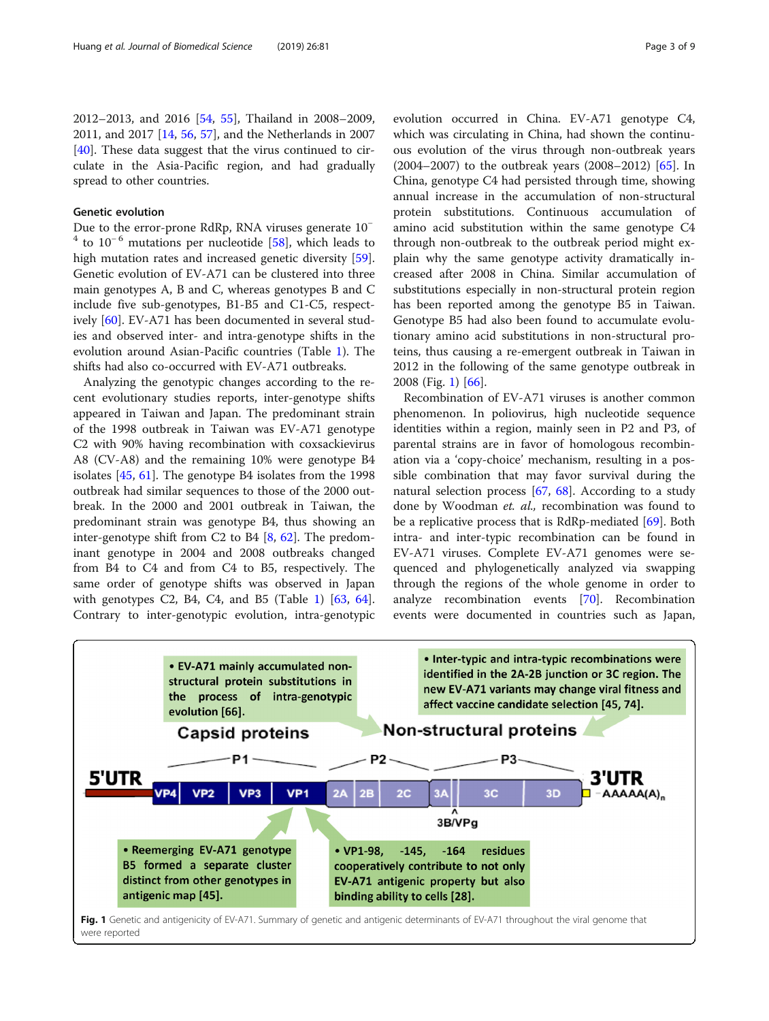<span id="page-2-0"></span>2012–2013, and 2016 [[54](#page-7-0), [55\]](#page-7-0), Thailand in 2008–2009, 2011, and 2017 [\[14](#page-6-0), [56](#page-7-0), [57\]](#page-7-0), and the Netherlands in 2007 [[40\]](#page-6-0). These data suggest that the virus continued to circulate in the Asia-Pacific region, and had gradually spread to other countries.

## Genetic evolution

Due to the error-prone RdRp, RNA viruses generate 10<sup>−</sup>  $4$  to 10<sup>-6</sup> mutations per nucleotide [[58\]](#page-7-0), which leads to high mutation rates and increased genetic diversity [\[59](#page-7-0)]. Genetic evolution of EV-A71 can be clustered into three main genotypes A, B and C, whereas genotypes B and C include five sub-genotypes, B1-B5 and C1-C5, respectively [\[60](#page-7-0)]. EV-A71 has been documented in several studies and observed inter- and intra-genotype shifts in the evolution around Asian-Pacific countries (Table [1](#page-1-0)). The shifts had also co-occurred with EV-A71 outbreaks.

Analyzing the genotypic changes according to the recent evolutionary studies reports, inter-genotype shifts appeared in Taiwan and Japan. The predominant strain of the 1998 outbreak in Taiwan was EV-A71 genotype C2 with 90% having recombination with coxsackievirus A8 (CV-A8) and the remaining 10% were genotype B4 isolates [[45,](#page-6-0) [61\]](#page-7-0). The genotype B4 isolates from the 1998 outbreak had similar sequences to those of the 2000 outbreak. In the 2000 and 2001 outbreak in Taiwan, the predominant strain was genotype B4, thus showing an inter-genotype shift from C2 to B4 [[8,](#page-6-0) [62](#page-7-0)]. The predominant genotype in 2004 and 2008 outbreaks changed from B4 to C4 and from C4 to B5, respectively. The same order of genotype shifts was observed in Japan with genotypes C2, B4, C4, and B5 (Table [1](#page-1-0)) [[63,](#page-7-0) [64](#page-7-0)]. Contrary to inter-genotypic evolution, intra-genotypic evolution occurred in China. EV-A71 genotype C4, which was circulating in China, had shown the continuous evolution of the virus through non-outbreak years (2004–2007) to the outbreak years (2008–2012) [\[65\]](#page-7-0). In China, genotype C4 had persisted through time, showing annual increase in the accumulation of non-structural protein substitutions. Continuous accumulation of amino acid substitution within the same genotype C4 through non-outbreak to the outbreak period might explain why the same genotype activity dramatically increased after 2008 in China. Similar accumulation of substitutions especially in non-structural protein region has been reported among the genotype B5 in Taiwan. Genotype B5 had also been found to accumulate evolutionary amino acid substitutions in non-structural proteins, thus causing a re-emergent outbreak in Taiwan in 2012 in the following of the same genotype outbreak in 2008 (Fig. 1) [\[66\]](#page-7-0).

Recombination of EV-A71 viruses is another common phenomenon. In poliovirus, high nucleotide sequence identities within a region, mainly seen in P2 and P3, of parental strains are in favor of homologous recombination via a 'copy-choice' mechanism, resulting in a possible combination that may favor survival during the natural selection process  $[67, 68]$  $[67, 68]$  $[67, 68]$  $[67, 68]$ . According to a study done by Woodman et. al., recombination was found to be a replicative process that is RdRp-mediated [[69\]](#page-7-0). Both intra- and inter-typic recombination can be found in EV-A71 viruses. Complete EV-A71 genomes were sequenced and phylogenetically analyzed via swapping through the regions of the whole genome in order to analyze recombination events [[70\]](#page-7-0). Recombination events were documented in countries such as Japan,



were reported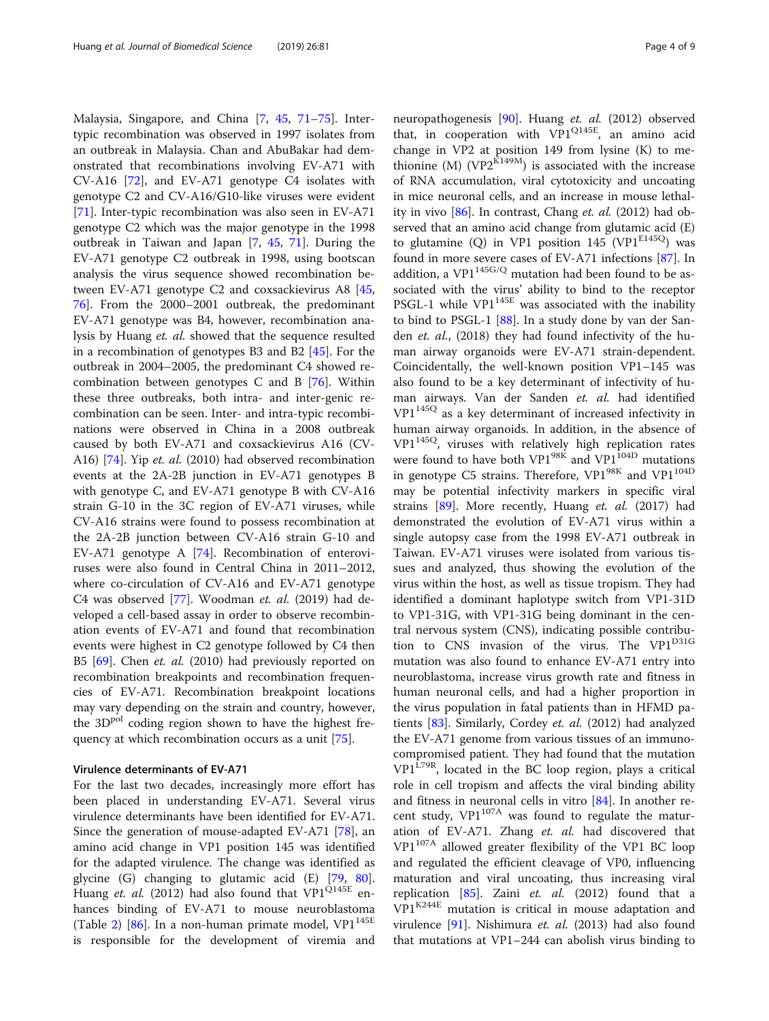Malaysia, Singapore, and China [\[7,](#page-6-0) [45](#page-6-0), [71](#page-7-0)–[75](#page-7-0)]. Intertypic recombination was observed in 1997 isolates from an outbreak in Malaysia. Chan and AbuBakar had demonstrated that recombinations involving EV-A71 with CV-A16 [\[72\]](#page-7-0), and EV-A71 genotype C4 isolates with genotype C2 and CV-A16/G10-like viruses were evident [[71\]](#page-7-0). Inter-typic recombination was also seen in EV-A71 genotype C2 which was the major genotype in the 1998 outbreak in Taiwan and Japan [[7](#page-6-0), [45](#page-6-0), [71\]](#page-7-0). During the EV-A71 genotype C2 outbreak in 1998, using bootscan analysis the virus sequence showed recombination between EV-A71 genotype C2 and coxsackievirus A8 [[45](#page-6-0), [76\]](#page-7-0). From the 2000–2001 outbreak, the predominant EV-A71 genotype was B4, however, recombination analysis by Huang et. al. showed that the sequence resulted in a recombination of genotypes B3 and B2 [\[45](#page-6-0)]. For the outbreak in 2004–2005, the predominant C4 showed recombination between genotypes C and B [[76\]](#page-7-0). Within these three outbreaks, both intra- and inter-genic recombination can be seen. Inter- and intra-typic recombinations were observed in China in a 2008 outbreak caused by both EV-A71 and coxsackievirus A16 (CV-A16) [[74\]](#page-7-0). Yip et. al. (2010) had observed recombination events at the 2A-2B junction in EV-A71 genotypes B with genotype C, and EV-A71 genotype B with CV-A16 strain G-10 in the 3C region of EV-A71 viruses, while CV-A16 strains were found to possess recombination at the 2A-2B junction between CV-A16 strain G-10 and EV-A71 genotype A [[74](#page-7-0)]. Recombination of enteroviruses were also found in Central China in 2011–2012, where co-circulation of CV-A16 and EV-A71 genotype C4 was observed [[77](#page-7-0)]. Woodman et. al. (2019) had developed a cell-based assay in order to observe recombination events of EV-A71 and found that recombination events were highest in C2 genotype followed by C4 then B5 [[69](#page-7-0)]. Chen et. al. (2010) had previously reported on recombination breakpoints and recombination frequencies of EV-A71. Recombination breakpoint locations may vary depending on the strain and country, however, the  $3D^{pol}$  coding region shown to have the highest frequency at which recombination occurs as a unit [[75\]](#page-7-0).

#### Virulence determinants of EV-A71

For the last two decades, increasingly more effort has been placed in understanding EV-A71. Several virus virulence determinants have been identified for EV-A71. Since the generation of mouse-adapted EV-A71 [\[78\]](#page-7-0), an amino acid change in VP1 position 145 was identified for the adapted virulence. The change was identified as glycine (G) changing to glutamic acid (E) [[79,](#page-7-0) [80](#page-7-0)]. Huang et. al. (2012) had also found that  $VP1^{Q145E}$  enhances binding of EV-A71 to mouse neuroblastoma (Table [2](#page-4-0)) [\[86](#page-7-0)]. In a non-human primate model,  $VP1^{145E}$ is responsible for the development of viremia and

neuropathogenesis [\[90\]](#page-7-0). Huang et. al. (2012) observed that, in cooperation with VP1Q145E, an amino acid change in VP2 at position 149 from lysine (K) to methionine (M) (VP2 $\overline{K}$ 149M) is associated with the increase of RNA accumulation, viral cytotoxicity and uncoating in mice neuronal cells, and an increase in mouse lethal-ity in vivo [[86](#page-7-0)]. In contrast, Chang et. al. (2012) had observed that an amino acid change from glutamic acid (E) to glutamine (Q) in VP1 position 145 (VP1 $E145Q$ ) was found in more severe cases of EV-A71 infections [[87\]](#page-7-0). In addition, a VP1 $145G/Q$  mutation had been found to be associated with the virus' ability to bind to the receptor PSGL-1 while  $VP1^{145E}$  was associated with the inability to bind to PSGL-1 [\[88](#page-7-0)]. In a study done by van der Sanden et. al., (2018) they had found infectivity of the human airway organoids were EV-A71 strain-dependent. Coincidentally, the well-known position VP1–145 was also found to be a key determinant of infectivity of human airways. Van der Sanden et. al. had identified VP1<sup>145Q</sup> as a key determinant of increased infectivity in human airway organoids. In addition, in the absence of VP1145Q, viruses with relatively high replication rates were found to have both VP1 $^{98K}$  and VP1 $^{104D}$  mutations in genotype C5 strains. Therefore, VP1<sup>98K</sup> and VP1<sup>104D</sup> may be potential infectivity markers in specific viral strains [\[89](#page-7-0)]. More recently, Huang et. al. (2017) had demonstrated the evolution of EV-A71 virus within a single autopsy case from the 1998 EV-A71 outbreak in Taiwan. EV-A71 viruses were isolated from various tissues and analyzed, thus showing the evolution of the virus within the host, as well as tissue tropism. They had identified a dominant haplotype switch from VP1-31D to VP1-31G, with VP1-31G being dominant in the central nervous system (CNS), indicating possible contribution to CNS invasion of the virus. The VP1<sup>D31G</sup> mutation was also found to enhance EV-A71 entry into neuroblastoma, increase virus growth rate and fitness in human neuronal cells, and had a higher proportion in the virus population in fatal patients than in HFMD pa-tients [\[83\]](#page-7-0). Similarly, Cordey et. al. (2012) had analyzed the EV-A71 genome from various tissues of an immunocompromised patient. They had found that the mutation  $VPI<sup>L79R</sup>$ , located in the BC loop region, plays a critical role in cell tropism and affects the viral binding ability and fitness in neuronal cells in vitro [\[84](#page-7-0)]. In another recent study,  $VP1^{107A}$  was found to regulate the maturation of EV-A71. Zhang et. al. had discovered that VP1107A allowed greater flexibility of the VP1 BC loop and regulated the efficient cleavage of VP0, influencing maturation and viral uncoating, thus increasing viral replication  $[85]$  $[85]$ . Zaini et. al. (2012) found that a  $VP1^{K244E}$  mutation is critical in mouse adaptation and virulence [\[91](#page-7-0)]. Nishimura *et. al.* (2013) had also found that mutations at VP1–244 can abolish virus binding to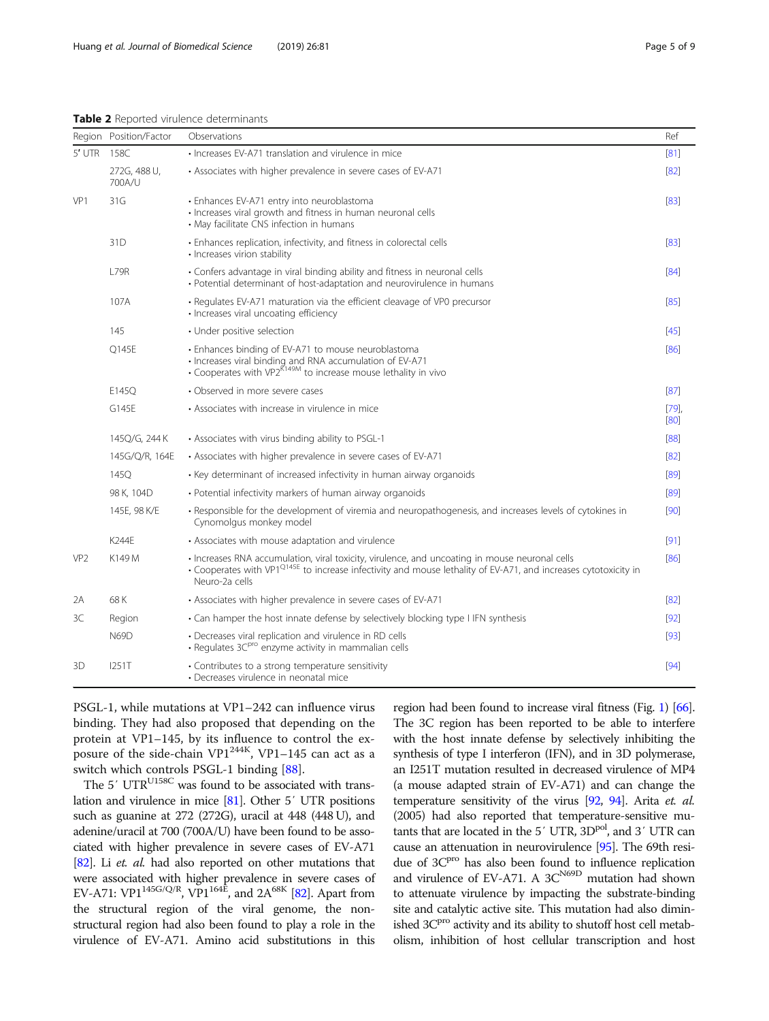<span id="page-4-0"></span>

|                 | Region Position/Factor | Observations                                                                                                                                                                                                                                    | Ref    |  |  |  |  |
|-----------------|------------------------|-------------------------------------------------------------------------------------------------------------------------------------------------------------------------------------------------------------------------------------------------|--------|--|--|--|--|
| $5'$ UTR        | 158C                   | • Increases EV-A71 translation and virulence in mice                                                                                                                                                                                            |        |  |  |  |  |
|                 | 272G, 488 U,<br>700A/U | • Associates with higher prevalence in severe cases of EV-A71                                                                                                                                                                                   |        |  |  |  |  |
| VP1             | 31G                    | · Enhances EV-A71 entry into neuroblastoma<br>· Increases viral growth and fitness in human neuronal cells<br>• May facilitate CNS infection in humans                                                                                          |        |  |  |  |  |
|                 | 31 <sub>D</sub>        | • Enhances replication, infectivity, and fitness in colorectal cells<br>· Increases virion stability                                                                                                                                            |        |  |  |  |  |
|                 | <b>L79R</b>            | • Confers advantage in viral binding ability and fitness in neuronal cells<br>• Potential determinant of host-adaptation and neurovirulence in humans                                                                                           |        |  |  |  |  |
|                 | 107A                   | • Regulates EV-A71 maturation via the efficient cleavage of VP0 precursor<br>· Increases viral uncoating efficiency                                                                                                                             |        |  |  |  |  |
|                 | 145                    | • Under positive selection                                                                                                                                                                                                                      |        |  |  |  |  |
|                 | Q145E                  | • Enhances binding of EV-A71 to mouse neuroblastoma<br>· Increases viral binding and RNA accumulation of EV-A71<br>• Cooperates with VP2 <sup>K149M</sup> to increase mouse lethality in vivo                                                   |        |  |  |  |  |
|                 | E145Q                  | • Observed in more severe cases                                                                                                                                                                                                                 | [87]   |  |  |  |  |
|                 | G145E                  | • Associates with increase in virulence in mice                                                                                                                                                                                                 |        |  |  |  |  |
|                 | 145Q/G, 244 K          | • Associates with virus binding ability to PSGL-1                                                                                                                                                                                               | [88]   |  |  |  |  |
|                 | 145G/Q/R, 164E         | • Associates with higher prevalence in severe cases of EV-A71                                                                                                                                                                                   | [82]   |  |  |  |  |
|                 | 1450                   | • Key determinant of increased infectivity in human airway organoids                                                                                                                                                                            | [89]   |  |  |  |  |
|                 | 98 K, 104D             | • Potential infectivity markers of human airway organoids                                                                                                                                                                                       | [89]   |  |  |  |  |
|                 | 145E, 98 K/E           | • Responsible for the development of viremia and neuropathogenesis, and increases levels of cytokines in<br>Cynomolgus monkey model                                                                                                             |        |  |  |  |  |
|                 | <b>K244E</b>           | • Associates with mouse adaptation and virulence                                                                                                                                                                                                | [91]   |  |  |  |  |
| VP <sub>2</sub> | K149 M                 | · Increases RNA accumulation, viral toxicity, virulence, and uncoating in mouse neuronal cells<br>• Cooperates with VP1 <sup>Q145E</sup> to increase infectivity and mouse lethality of EV-A71, and increases cytotoxicity in<br>Neuro-2a cells | [86]   |  |  |  |  |
| 2A              | 68 K                   | • Associates with higher prevalence in severe cases of EV-A71                                                                                                                                                                                   | [82]   |  |  |  |  |
| 3C              | Region                 | • Can hamper the host innate defense by selectively blocking type I IFN synthesis                                                                                                                                                               | $[92]$ |  |  |  |  |
|                 | <b>N69D</b>            | • Decreases viral replication and virulence in RD cells<br>· Regulates 3C <sup>pro</sup> enzyme activity in mammalian cells                                                                                                                     |        |  |  |  |  |
| 3D              | 1251T                  | • Contributes to a strong temperature sensitivity<br>• Decreases virulence in neonatal mice                                                                                                                                                     | [94]   |  |  |  |  |

PSGL-1, while mutations at VP1–242 can influence virus binding. They had also proposed that depending on the protein at VP1–145, by its influence to control the exposure of the side-chain VP1<sup>244K</sup>, VP1–145 can act as a switch which controls PSGL-1 binding [\[88\]](#page-7-0).

The 5' UTR<sup>U158C</sup> was found to be associated with translation and virulence in mice [\[81](#page-7-0)]. Other 5′ UTR positions such as guanine at 272 (272G), uracil at 448 (448 U), and adenine/uracil at 700 (700A/U) have been found to be associated with higher prevalence in severe cases of EV-A71 [[82](#page-7-0)]. Li et. al. had also reported on other mutations that were associated with higher prevalence in severe cases of EV-A71: VP1<sup>145G/Q/R</sup>, VP1<sup>164E</sup>, and 2A<sup>68K</sup> [\[82\]](#page-7-0). Apart from the structural region of the viral genome, the nonstructural region had also been found to play a role in the virulence of EV-A71. Amino acid substitutions in this region had been found to increase viral fitness (Fig. [1\)](#page-2-0) [\[66](#page-7-0)]. The 3C region has been reported to be able to interfere with the host innate defense by selectively inhibiting the synthesis of type I interferon (IFN), and in 3D polymerase, an I251T mutation resulted in decreased virulence of MP4 (a mouse adapted strain of EV-A71) and can change the temperature sensitivity of the virus [\[92](#page-8-0), [94](#page-8-0)]. Arita et. al. (2005) had also reported that temperature-sensitive mutants that are located in the  $5'$  UTR,  $3D<sup>pol</sup>$ , and  $3'$  UTR can cause an attenuation in neurovirulence [\[95\]](#page-8-0). The 69th residue of 3C<sup>pro</sup> has also been found to influence replication and virulence of EV-A71. A  $3C<sup>N69D</sup>$  mutation had shown to attenuate virulence by impacting the substrate-binding site and catalytic active site. This mutation had also diminished 3C<sup>pro</sup> activity and its ability to shutoff host cell metabolism, inhibition of host cellular transcription and host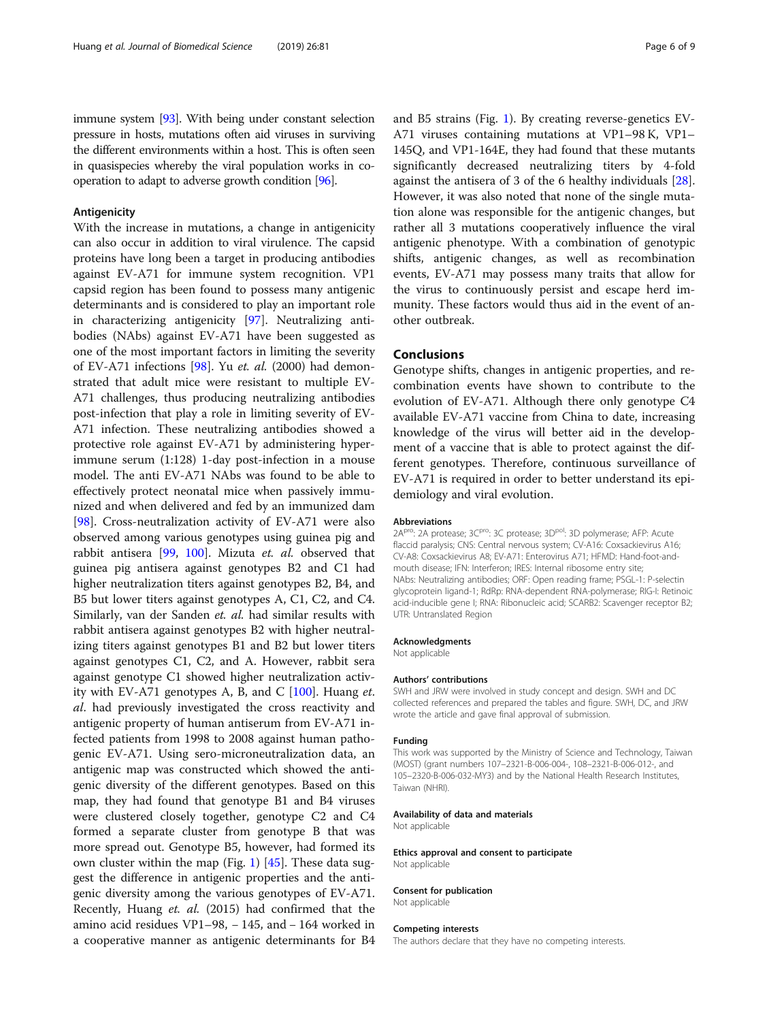immune system [\[93\]](#page-8-0). With being under constant selection pressure in hosts, mutations often aid viruses in surviving the different environments within a host. This is often seen in quasispecies whereby the viral population works in cooperation to adapt to adverse growth condition [[96](#page-8-0)].

#### Antigenicity

With the increase in mutations, a change in antigenicity can also occur in addition to viral virulence. The capsid proteins have long been a target in producing antibodies against EV-A71 for immune system recognition. VP1 capsid region has been found to possess many antigenic determinants and is considered to play an important role in characterizing antigenicity [\[97](#page-8-0)]. Neutralizing antibodies (NAbs) against EV-A71 have been suggested as one of the most important factors in limiting the severity of EV-A71 infections [[98](#page-8-0)]. Yu et. al. (2000) had demonstrated that adult mice were resistant to multiple EV-A71 challenges, thus producing neutralizing antibodies post-infection that play a role in limiting severity of EV-A71 infection. These neutralizing antibodies showed a protective role against EV-A71 by administering hyperimmune serum (1:128) 1-day post-infection in a mouse model. The anti EV-A71 NAbs was found to be able to effectively protect neonatal mice when passively immunized and when delivered and fed by an immunized dam [[98\]](#page-8-0). Cross-neutralization activity of EV-A71 were also observed among various genotypes using guinea pig and rabbit antisera [\[99](#page-8-0), [100](#page-8-0)]. Mizuta et. al. observed that guinea pig antisera against genotypes B2 and C1 had higher neutralization titers against genotypes B2, B4, and B5 but lower titers against genotypes A, C1, C2, and C4. Similarly, van der Sanden et. al. had similar results with rabbit antisera against genotypes B2 with higher neutralizing titers against genotypes B1 and B2 but lower titers against genotypes C1, C2, and A. However, rabbit sera against genotype C1 showed higher neutralization activity with EV-A71 genotypes A, B, and C  $[100]$  $[100]$ . Huang *et*. al. had previously investigated the cross reactivity and antigenic property of human antiserum from EV-A71 infected patients from 1998 to 2008 against human pathogenic EV-A71. Using sero-microneutralization data, an antigenic map was constructed which showed the antigenic diversity of the different genotypes. Based on this map, they had found that genotype B1 and B4 viruses were clustered closely together, genotype C2 and C4 formed a separate cluster from genotype B that was more spread out. Genotype B5, however, had formed its own cluster within the map (Fig. [1](#page-2-0))  $[45]$  $[45]$  $[45]$ . These data suggest the difference in antigenic properties and the antigenic diversity among the various genotypes of EV-A71. Recently, Huang et. al. (2015) had confirmed that the amino acid residues VP1–98, − 145, and − 164 worked in a cooperative manner as antigenic determinants for B4 and B5 strains (Fig. [1\)](#page-2-0). By creating reverse-genetics EV-A71 viruses containing mutations at VP1–98 K, VP1– 145Q, and VP1-164E, they had found that these mutants significantly decreased neutralizing titers by 4-fold against the antisera of 3 of the 6 healthy individuals [\[28](#page-6-0)]. However, it was also noted that none of the single mutation alone was responsible for the antigenic changes, but rather all 3 mutations cooperatively influence the viral antigenic phenotype. With a combination of genotypic shifts, antigenic changes, as well as recombination events, EV-A71 may possess many traits that allow for the virus to continuously persist and escape herd immunity. These factors would thus aid in the event of another outbreak.

#### Conclusions

Genotype shifts, changes in antigenic properties, and recombination events have shown to contribute to the evolution of EV-A71. Although there only genotype C4 available EV-A71 vaccine from China to date, increasing knowledge of the virus will better aid in the development of a vaccine that is able to protect against the different genotypes. Therefore, continuous surveillance of EV-A71 is required in order to better understand its epidemiology and viral evolution.

#### Abbreviations

2A<sup>pro</sup>: 2A protease; 3C<sup>pro</sup>: 3C protease; 3D<sup>pol</sup>: 3D polymerase; AFP: Acute flaccid paralysis; CNS: Central nervous system; CV-A16: Coxsackievirus A16; CV-A8: Coxsackievirus A8; EV-A71: Enterovirus A71; HFMD: Hand-foot-andmouth disease; IFN: Interferon; IRES: Internal ribosome entry site; NAbs: Neutralizing antibodies; ORF: Open reading frame; PSGL-1: P-selectin glycoprotein ligand-1; RdRp: RNA-dependent RNA-polymerase; RIG-I: Retinoic acid-inducible gene I; RNA: Ribonucleic acid; SCARB2: Scavenger receptor B2; UTR: Untranslated Region

#### Acknowledgments

Not applicable

#### Authors' contributions

SWH and JRW were involved in study concept and design. SWH and DC collected references and prepared the tables and figure. SWH, DC, and JRW wrote the article and gave final approval of submission.

#### Funding

This work was supported by the Ministry of Science and Technology, Taiwan (MOST) (grant numbers 107–2321-B-006-004-, 108–2321-B-006-012-, and 105–2320-B-006-032-MY3) and by the National Health Research Institutes, Taiwan (NHRI).

#### Availability of data and materials

Not applicable

#### Ethics approval and consent to participate Not applicable

### Consent for publication

Not applicable

#### Competing interests

The authors declare that they have no competing interests.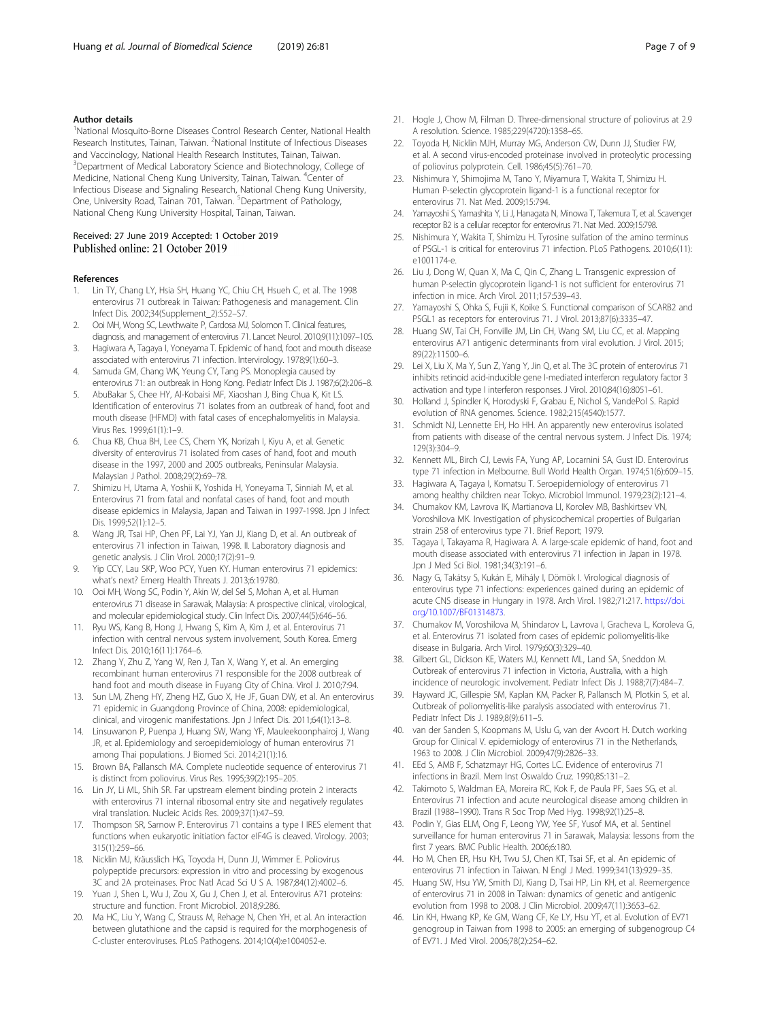#### <span id="page-6-0"></span>Author details

<sup>1</sup>National Mosquito-Borne Diseases Control Research Center, National Health Research Institutes, Tainan, Taiwan. <sup>2</sup>National Institute of Infectious Diseases and Vaccinology, National Health Research Institutes, Tainan, Taiwan. <sup>3</sup>Department of Medical Laboratory Science and Biotechnology, College of Medicine, National Cheng Kung University, Tainan, Taiwan. <sup>4</sup>Center of Infectious Disease and Signaling Research, National Cheng Kung University, One, University Road, Tainan 701, Taiwan. <sup>5</sup>Department of Pathology, National Cheng Kung University Hospital, Tainan, Taiwan.

#### Received: 27 June 2019 Accepted: 1 October 2019 Published online: 21 October 2019

#### References

- 1. Lin TY, Chang LY, Hsia SH, Huang YC, Chiu CH, Hsueh C, et al. The 1998 enterovirus 71 outbreak in Taiwan: Pathogenesis and management. Clin Infect Dis. 2002;34(Supplement\_2):S52–S7.
- 2. Ooi MH, Wong SC, Lewthwaite P, Cardosa MJ, Solomon T. Clinical features, diagnosis, and management of enterovirus 71. Lancet Neurol. 2010;9(11):1097–105.
- 3. Hagiwara A, Tagaya I, Yoneyama T. Epidemic of hand, foot and mouth disease associated with enterovirus 71 infection. Intervirology. 1978;9(1):60–3.
- 4. Samuda GM, Chang WK, Yeung CY, Tang PS. Monoplegia caused by enterovirus 71: an outbreak in Hong Kong. Pediatr Infect Dis J. 1987;6(2):206–8.
- 5. AbuBakar S, Chee HY, Al-Kobaisi MF, Xiaoshan J, Bing Chua K, Kit LS. Identification of enterovirus 71 isolates from an outbreak of hand, foot and mouth disease (HFMD) with fatal cases of encephalomyelitis in Malaysia. Virus Res. 1999;61(1):1–9.
- 6. Chua KB, Chua BH, Lee CS, Chem YK, Norizah I, Kiyu A, et al. Genetic diversity of enterovirus 71 isolated from cases of hand, foot and mouth disease in the 1997, 2000 and 2005 outbreaks, Peninsular Malaysia. Malaysian J Pathol. 2008;29(2):69–78.
- 7. Shimizu H, Utama A, Yoshii K, Yoshida H, Yoneyama T, Sinniah M, et al. Enterovirus 71 from fatal and nonfatal cases of hand, foot and mouth disease epidemics in Malaysia, Japan and Taiwan in 1997-1998. Jpn J Infect Dis. 1999;52(1):12–5.
- 8. Wang JR, Tsai HP, Chen PF, Lai YJ, Yan JJ, Kiang D, et al. An outbreak of enterovirus 71 infection in Taiwan, 1998. II. Laboratory diagnosis and genetic analysis. J Clin Virol. 2000;17(2):91–9.
- Yip CCY, Lau SKP, Woo PCY, Yuen KY. Human enterovirus 71 epidemics: what's next? Emerg Health Threats J. 2013;6:19780.
- 10. Ooi MH, Wong SC, Podin Y, Akin W, del Sel S, Mohan A, et al. Human enterovirus 71 disease in Sarawak, Malaysia: A prospective clinical, virological, and molecular epidemiological study. Clin Infect Dis. 2007;44(5):646–56.
- 11. Ryu WS, Kang B, Hong J, Hwang S, Kim A, Kim J, et al. Enterovirus 71 infection with central nervous system involvement, South Korea. Emerg Infect Dis. 2010;16(11):1764–6.
- 12. Zhang Y, Zhu Z, Yang W, Ren J, Tan X, Wang Y, et al. An emerging recombinant human enterovirus 71 responsible for the 2008 outbreak of hand foot and mouth disease in Fuyang City of China. Virol J. 2010;7:94.
- 13. Sun LM, Zheng HY, Zheng HZ, Guo X, He JF, Guan DW, et al. An enterovirus 71 epidemic in Guangdong Province of China, 2008: epidemiological, clinical, and virogenic manifestations. Jpn J Infect Dis. 2011;64(1):13–8.
- 14. Linsuwanon P, Puenpa J, Huang SW, Wang YF, Mauleekoonphairoj J, Wang JR, et al. Epidemiology and seroepidemiology of human enterovirus 71 among Thai populations. J Biomed Sci. 2014;21(1):16.
- 15. Brown BA, Pallansch MA. Complete nucleotide sequence of enterovirus 71 is distinct from poliovirus. Virus Res. 1995;39(2):195–205.
- 16. Lin JY, Li ML, Shih SR. Far upstream element binding protein 2 interacts with enterovirus 71 internal ribosomal entry site and negatively regulates viral translation. Nucleic Acids Res. 2009;37(1):47–59.
- 17. Thompson SR, Sarnow P. Enterovirus 71 contains a type I IRES element that functions when eukaryotic initiation factor eIF4G is cleaved. Virology. 2003; 315(1):259–66.
- 18. Nicklin MJ, Kräusslich HG, Toyoda H, Dunn JJ, Wimmer E. Poliovirus polypeptide precursors: expression in vitro and processing by exogenous 3C and 2A proteinases. Proc Natl Acad Sci U S A. 1987;84(12):4002–6.
- 19. Yuan J, Shen L, Wu J, Zou X, Gu J, Chen J, et al. Enterovirus A71 proteins: structure and function. Front Microbiol. 2018;9:286.
- 20. Ma HC, Liu Y, Wang C, Strauss M, Rehage N, Chen YH, et al. An interaction between glutathione and the capsid is required for the morphogenesis of C-cluster enteroviruses. PLoS Pathogens. 2014;10(4):e1004052-e.
- 21. Hogle J, Chow M, Filman D. Three-dimensional structure of poliovirus at 2.9 A resolution. Science. 1985;229(4720):1358–65.
- 22. Toyoda H, Nicklin MJH, Murray MG, Anderson CW, Dunn JJ, Studier FW, et al. A second virus-encoded proteinase involved in proteolytic processing of poliovirus polyprotein. Cell. 1986;45(5):761–70.
- 23. Nishimura Y, Shimojima M, Tano Y, Miyamura T, Wakita T, Shimizu H. Human P-selectin glycoprotein ligand-1 is a functional receptor for enterovirus 71. Nat Med. 2009;15:794.
- 24. Yamayoshi S, Yamashita Y, Li J, Hanagata N, Minowa T, Takemura T, et al. Scavenger receptor B2 is a cellular receptor for enterovirus 71. Nat Med. 2009;15:798.
- 25. Nishimura Y, Wakita T, Shimizu H. Tyrosine sulfation of the amino terminus of PSGL-1 is critical for enterovirus 71 infection. PLoS Pathogens. 2010;6(11): e1001174-e.
- 26. Liu J, Dong W, Quan X, Ma C, Qin C, Zhang L. Transgenic expression of human P-selectin glycoprotein ligand-1 is not sufficient for enterovirus 71 infection in mice. Arch Virol. 2011;157:539–43.
- 27. Yamayoshi S, Ohka S, Fujii K, Koike S. Functional comparison of SCARB2 and PSGL1 as receptors for enterovirus 71. J Virol. 2013;87(6):3335–47.
- 28. Huang SW, Tai CH, Fonville JM, Lin CH, Wang SM, Liu CC, et al. Mapping enterovirus A71 antigenic determinants from viral evolution. J Virol. 2015; 89(22):11500–6.
- 29. Lei X, Liu X, Ma Y, Sun Z, Yang Y, Jin Q, et al. The 3C protein of enterovirus 71 inhibits retinoid acid-inducible gene I-mediated interferon regulatory factor 3 activation and type I interferon responses. J Virol. 2010;84(16):8051–61.
- 30. Holland J, Spindler K, Horodyski F, Grabau E, Nichol S, VandePol S. Rapid evolution of RNA genomes. Science. 1982;215(4540):1577.
- 31. Schmidt NJ, Lennette EH, Ho HH. An apparently new enterovirus isolated from patients with disease of the central nervous system. J Infect Dis. 1974; 129(3):304–9.
- 32. Kennett ML, Birch CJ, Lewis FA, Yung AP, Locarnini SA, Gust ID. Enterovirus type 71 infection in Melbourne. Bull World Health Organ. 1974;51(6):609–15.
- 33. Hagiwara A, Tagaya I, Komatsu T. Seroepidemiology of enterovirus 71 among healthy children near Tokyo. Microbiol Immunol. 1979;23(2):121–4.
- 34. Chumakov KM, Lavrova IK, Martianova LI, Korolev MB, Bashkirtsev VN, Voroshilova MK. Investigation of physicochemical properties of Bulgarian strain 258 of enterovirus type 71. Brief Report; 1979.
- 35. Tagaya I, Takayama R, Hagiwara A. A large-scale epidemic of hand, foot and mouth disease associated with enterovirus 71 infection in Japan in 1978. Jpn J Med Sci Biol. 1981;34(3):191–6.
- 36. Nagy G, Takátsy S, Kukán E, Mihály I, Dömök I. Virological diagnosis of enterovirus type 71 infections: experiences gained during an epidemic of acute CNS disease in Hungary in 1978. Arch Virol. 1982;71:217. [https://doi.](https://doi.org/10.1007/BF01314873) [org/10.1007/BF01314873](https://doi.org/10.1007/BF01314873).
- 37. Chumakov M, Voroshilova M, Shindarov L, Lavrova I, Gracheva L, Koroleva G, et al. Enterovirus 71 isolated from cases of epidemic poliomyelitis-like disease in Bulgaria. Arch Virol. 1979;60(3):329–40.
- 38. Gilbert GL, Dickson KE, Waters MJ, Kennett ML, Land SA, Sneddon M. Outbreak of enterovirus 71 infection in Victoria, Australia, with a high incidence of neurologic involvement. Pediatr Infect Dis J. 1988;7(7):484–7.
- 39. Hayward JC, Gillespie SM, Kaplan KM, Packer R, Pallansch M, Plotkin S, et al. Outbreak of poliomyelitis-like paralysis associated with enterovirus 71. Pediatr Infect Dis J. 1989;8(9):611–5.
- 40. van der Sanden S, Koopmans M, Uslu G, van der Avoort H. Dutch working Group for Clinical V. epidemiology of enterovirus 71 in the Netherlands, 1963 to 2008. J Clin Microbiol. 2009;47(9):2826–33.
- 41. EEd S, AMB F, Schatzmayr HG, Cortes LC. Evidence of enterovirus 71 infections in Brazil. Mem Inst Oswaldo Cruz. 1990;85:131–2.
- 42. Takimoto S, Waldman EA, Moreira RC, Kok F, de Paula PF, Saes SG, et al. Enterovirus 71 infection and acute neurological disease among children in Brazil (1988–1990). Trans R Soc Trop Med Hyg. 1998;92(1):25–8.
- 43. Podin Y, Gias ELM, Ong F, Leong YW, Yee SF, Yusof MA, et al. Sentinel surveillance for human enterovirus 71 in Sarawak, Malaysia: lessons from the first 7 years. BMC Public Health. 2006;6:180.
- 44. Ho M, Chen ER, Hsu KH, Twu SJ, Chen KT, Tsai SF, et al. An epidemic of enterovirus 71 infection in Taiwan. N Engl J Med. 1999;341(13):929–35.
- 45. Huang SW, Hsu YW, Smith DJ, Kiang D, Tsai HP, Lin KH, et al. Reemergence of enterovirus 71 in 2008 in Taiwan: dynamics of genetic and antigenic evolution from 1998 to 2008. J Clin Microbiol. 2009;47(11):3653–62.
- 46. Lin KH, Hwang KP, Ke GM, Wang CF, Ke LY, Hsu YT, et al. Evolution of EV71 genogroup in Taiwan from 1998 to 2005: an emerging of subgenogroup C4 of EV71. J Med Virol. 2006;78(2):254–62.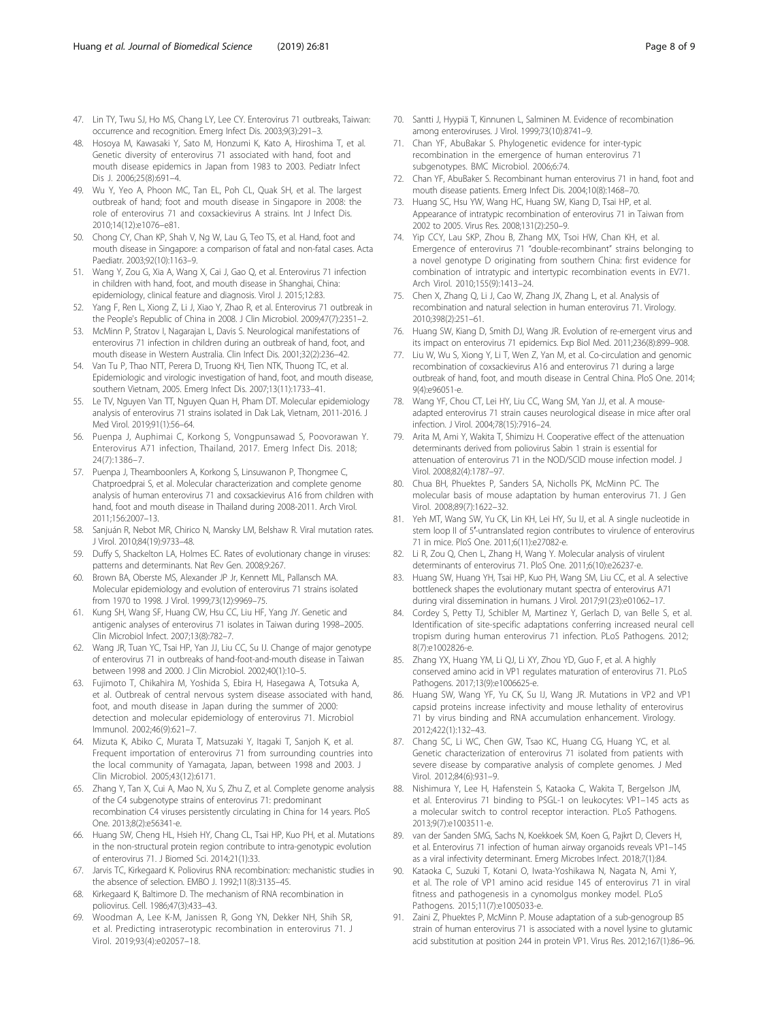- <span id="page-7-0"></span>47. Lin TY, Twu SJ, Ho MS, Chang LY, Lee CY. Enterovirus 71 outbreaks, Taiwan: occurrence and recognition. Emerg Infect Dis. 2003;9(3):291–3.
- 48. Hosoya M, Kawasaki Y, Sato M, Honzumi K, Kato A, Hiroshima T, et al. Genetic diversity of enterovirus 71 associated with hand, foot and mouth disease epidemics in Japan from 1983 to 2003. Pediatr Infect Dis J. 2006;25(8):691–4.
- 49. Wu Y, Yeo A, Phoon MC, Tan EL, Poh CL, Quak SH, et al. The largest outbreak of hand; foot and mouth disease in Singapore in 2008: the role of enterovirus 71 and coxsackievirus A strains. Int J Infect Dis. 2010;14(12):e1076–e81.
- 50. Chong CY, Chan KP, Shah V, Ng W, Lau G, Teo TS, et al. Hand, foot and mouth disease in Singapore: a comparison of fatal and non-fatal cases. Acta Paediatr. 2003;92(10):1163–9.
- 51. Wang Y, Zou G, Xia A, Wang X, Cai J, Gao Q, et al. Enterovirus 71 infection in children with hand, foot, and mouth disease in Shanghai, China: epidemiology, clinical feature and diagnosis. Virol J. 2015;12:83.
- 52. Yang F, Ren L, Xiong Z, Li J, Xiao Y, Zhao R, et al. Enterovirus 71 outbreak in the People's Republic of China in 2008. J Clin Microbiol. 2009;47(7):2351–2.
- 53. McMinn P, Stratov I, Nagarajan L, Davis S. Neurological manifestations of enterovirus 71 infection in children during an outbreak of hand, foot, and mouth disease in Western Australia. Clin Infect Dis. 2001;32(2):236–42.
- 54. Van Tu P, Thao NTT, Perera D, Truong KH, Tien NTK, Thuong TC, et al. Epidemiologic and virologic investigation of hand, foot, and mouth disease, southern Vietnam, 2005. Emerg Infect Dis. 2007;13(11):1733–41.
- 55. Le TV, Nguyen Van TT, Nguyen Quan H, Pham DT. Molecular epidemiology analysis of enterovirus 71 strains isolated in Dak Lak, Vietnam, 2011-2016. J Med Virol. 2019;91(1):56–64.
- 56. Puenpa J, Auphimai C, Korkong S, Vongpunsawad S, Poovorawan Y. Enterovirus A71 infection, Thailand, 2017. Emerg Infect Dis. 2018; 24(7):1386–7.
- 57. Puenpa J, Theamboonlers A, Korkong S, Linsuwanon P, Thongmee C, Chatproedprai S, et al. Molecular characterization and complete genome analysis of human enterovirus 71 and coxsackievirus A16 from children with hand, foot and mouth disease in Thailand during 2008-2011. Arch Virol. 2011;156:2007–13.
- 58. Sanjuán R, Nebot MR, Chirico N, Mansky LM, Belshaw R. Viral mutation rates. J Virol. 2010;84(19):9733–48.
- 59. Duffy S, Shackelton LA, Holmes EC. Rates of evolutionary change in viruses: patterns and determinants. Nat Rev Gen. 2008;9:267.
- 60. Brown BA, Oberste MS, Alexander JP Jr, Kennett ML, Pallansch MA. Molecular epidemiology and evolution of enterovirus 71 strains isolated from 1970 to 1998. J Virol. 1999;73(12):9969–75.
- 61. Kung SH, Wang SF, Huang CW, Hsu CC, Liu HF, Yang JY. Genetic and antigenic analyses of enterovirus 71 isolates in Taiwan during 1998–2005. Clin Microbiol Infect. 2007;13(8):782–7.
- 62. Wang JR, Tuan YC, Tsai HP, Yan JJ, Liu CC, Su IJ. Change of major genotype of enterovirus 71 in outbreaks of hand-foot-and-mouth disease in Taiwan between 1998 and 2000. J Clin Microbiol. 2002;40(1):10–5.
- 63. Fujimoto T, Chikahira M, Yoshida S, Ebira H, Hasegawa A, Totsuka A, et al. Outbreak of central nervous system disease associated with hand, foot, and mouth disease in Japan during the summer of 2000: detection and molecular epidemiology of enterovirus 71. Microbiol Immunol. 2002;46(9):621–7.
- 64. Mizuta K, Abiko C, Murata T, Matsuzaki Y, Itagaki T, Sanjoh K, et al. Frequent importation of enterovirus 71 from surrounding countries into the local community of Yamagata, Japan, between 1998 and 2003. J Clin Microbiol. 2005;43(12):6171.
- 65. Zhang Y, Tan X, Cui A, Mao N, Xu S, Zhu Z, et al. Complete genome analysis of the C4 subgenotype strains of enterovirus 71: predominant recombination C4 viruses persistently circulating in China for 14 years. PloS One. 2013;8(2):e56341-e.
- 66. Huang SW, Cheng HL, Hsieh HY, Chang CL, Tsai HP, Kuo PH, et al. Mutations in the non-structural protein region contribute to intra-genotypic evolution of enterovirus 71. J Biomed Sci. 2014;21(1):33.
- 67. Jarvis TC, Kirkegaard K. Poliovirus RNA recombination: mechanistic studies in the absence of selection. EMBO J. 1992;11(8):3135–45.
- 68. Kirkegaard K, Baltimore D. The mechanism of RNA recombination in poliovirus. Cell. 1986;47(3):433–43.
- 69. Woodman A, Lee K-M, Janissen R, Gong YN, Dekker NH, Shih SR, et al. Predicting intraserotypic recombination in enterovirus 71. J Virol. 2019;93(4):e02057–18.
- 70. Santti J, Hyypiä T, Kinnunen L, Salminen M. Evidence of recombination among enteroviruses. J Virol. 1999;73(10):8741–9.
- 71. Chan YF, AbuBakar S. Phylogenetic evidence for inter-typic recombination in the emergence of human enterovirus 71 subgenotypes. BMC Microbiol. 2006;6:74.
- 72. Chan YF, AbuBaker S. Recombinant human enterovirus 71 in hand, foot and mouth disease patients. Emerg Infect Dis. 2004;10(8):1468–70.
- 73. Huang SC, Hsu YW, Wang HC, Huang SW, Kiang D, Tsai HP, et al. Appearance of intratypic recombination of enterovirus 71 in Taiwan from 2002 to 2005. Virus Res. 2008;131(2):250–9.
- 74. Yip CCY, Lau SKP, Zhou B, Zhang MX, Tsoi HW, Chan KH, et al. Emergence of enterovirus 71 "double-recombinant" strains belonging to a novel genotype D originating from southern China: first evidence for combination of intratypic and intertypic recombination events in EV71. Arch Virol. 2010;155(9):1413–24.
- 75. Chen X, Zhang Q, Li J, Cao W, Zhang JX, Zhang L, et al. Analysis of recombination and natural selection in human enterovirus 71. Virology. 2010;398(2):251–61.
- 76. Huang SW, Kiang D, Smith DJ, Wang JR. Evolution of re-emergent virus and its impact on enterovirus 71 epidemics. Exp Biol Med. 2011;236(8):899–908.
- 77. Liu W, Wu S, Xiong Y, Li T, Wen Z, Yan M, et al. Co-circulation and genomic recombination of coxsackievirus A16 and enterovirus 71 during a large outbreak of hand, foot, and mouth disease in Central China. PloS One. 2014; 9(4):e96051-e.
- 78. Wang YF, Chou CT, Lei HY, Liu CC, Wang SM, Yan JJ, et al. A mouseadapted enterovirus 71 strain causes neurological disease in mice after oral infection. J Virol. 2004;78(15):7916–24.
- 79. Arita M, Ami Y, Wakita T, Shimizu H. Cooperative effect of the attenuation determinants derived from poliovirus Sabin 1 strain is essential for attenuation of enterovirus 71 in the NOD/SCID mouse infection model. J Virol. 2008;82(4):1787–97.
- 80. Chua BH, Phuektes P, Sanders SA, Nicholls PK, McMinn PC. The molecular basis of mouse adaptation by human enterovirus 71. J Gen Virol. 2008;89(7):1622–32.
- 81. Yeh MT, Wang SW, Yu CK, Lin KH, Lei HY, Su IJ, et al. A single nucleotide in stem loop II of 5′-untranslated region contributes to virulence of enterovirus 71 in mice. PloS One. 2011;6(11):e27082-e.
- 82. Li R, Zou Q, Chen L, Zhang H, Wang Y. Molecular analysis of virulent determinants of enterovirus 71. PloS One. 2011;6(10):e26237-e.
- 83. Huang SW, Huang YH, Tsai HP, Kuo PH, Wang SM, Liu CC, et al. A selective bottleneck shapes the evolutionary mutant spectra of enterovirus A71 during viral dissemination in humans. J Virol. 2017;91(23):e01062–17.
- 84. Cordey S, Petty TJ, Schibler M, Martinez Y, Gerlach D, van Belle S, et al. Identification of site-specific adaptations conferring increased neural cell tropism during human enterovirus 71 infection. PLoS Pathogens. 2012; 8(7):e1002826-e.
- 85. Zhang YX, Huang YM, Li QJ, Li XY, Zhou YD, Guo F, et al. A highly conserved amino acid in VP1 regulates maturation of enterovirus 71. PLoS Pathogens. 2017;13(9):e1006625-e.
- 86. Huang SW, Wang YF, Yu CK, Su IJ, Wang JR. Mutations in VP2 and VP1 capsid proteins increase infectivity and mouse lethality of enterovirus 71 by virus binding and RNA accumulation enhancement. Virology. 2012;422(1):132–43.
- 87. Chang SC, Li WC, Chen GW, Tsao KC, Huang CG, Huang YC, et al. Genetic characterization of enterovirus 71 isolated from patients with severe disease by comparative analysis of complete genomes. J Med Virol. 2012;84(6):931–9.
- 88. Nishimura Y, Lee H, Hafenstein S, Kataoka C, Wakita T, Bergelson JM, et al. Enterovirus 71 binding to PSGL-1 on leukocytes: VP1–145 acts as a molecular switch to control receptor interaction. PLoS Pathogens. 2013;9(7):e1003511-e.
- 89. van der Sanden SMG, Sachs N, Koekkoek SM, Koen G, Pajkrt D, Clevers H, et al. Enterovirus 71 infection of human airway organoids reveals VP1–145 as a viral infectivity determinant. Emerg Microbes Infect. 2018;7(1):84.
- 90. Kataoka C, Suzuki T, Kotani O, Iwata-Yoshikawa N, Nagata N, Ami Y, et al. The role of VP1 amino acid residue 145 of enterovirus 71 in viral fitness and pathogenesis in a cynomolgus monkey model. PLoS Pathogens. 2015;11(7):e1005033-e.
- 91. Zaini Z, Phuektes P, McMinn P. Mouse adaptation of a sub-genogroup B5 strain of human enterovirus 71 is associated with a novel lysine to glutamic acid substitution at position 244 in protein VP1. Virus Res. 2012;167(1):86–96.